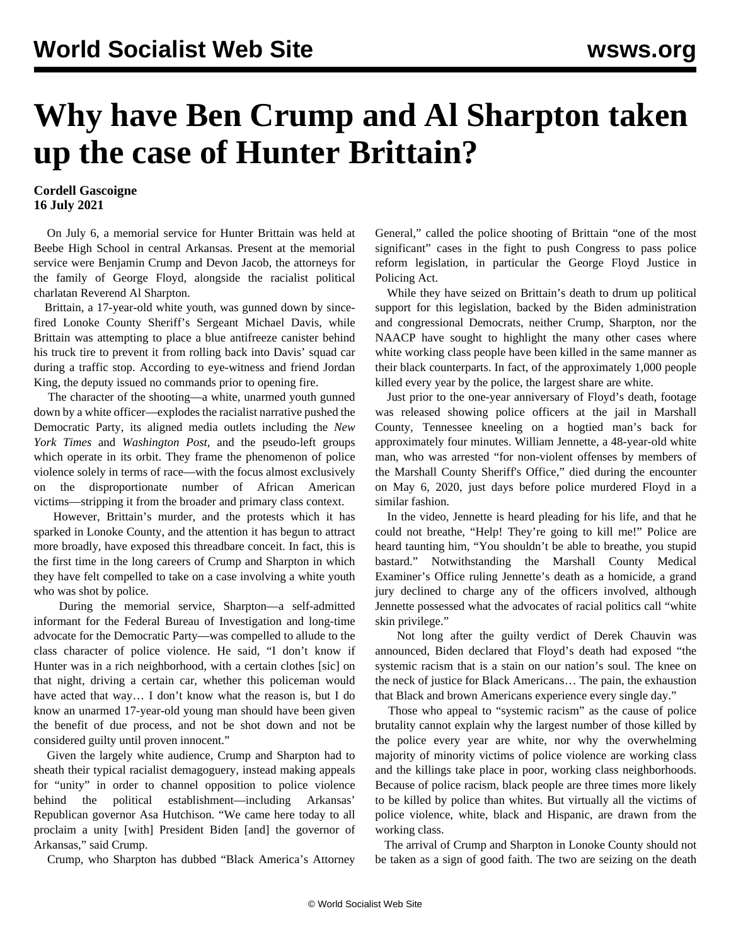## **Why have Ben Crump and Al Sharpton taken up the case of Hunter Brittain?**

## **Cordell Gascoigne 16 July 2021**

 On July 6, a memorial service for Hunter Brittain was held at Beebe High School in central Arkansas. Present at the memorial service were Benjamin Crump and Devon Jacob, the attorneys for the family of George Floyd, alongside the racialist political charlatan Reverend Al Sharpton.

 Brittain, a 17-year-old white youth, was gunned down by sincefired Lonoke County Sheriff's Sergeant Michael Davis, while Brittain was attempting to place a blue antifreeze canister behind his truck tire to prevent it from rolling back into Davis' squad car during a traffic stop. According to eye-witness and friend Jordan King, the deputy issued no commands prior to opening fire.

 The character of the shooting—a white, unarmed youth gunned down by a white officer—explodes the racialist narrative pushed the Democratic Party, its aligned media outlets including the *New York Times* and *Washington Post,* and the pseudo-left groups which operate in its orbit. They frame the phenomenon of police violence solely in terms of race—with the focus almost exclusively on the disproportionate number of African American victims—stripping it from the broader and primary class context.

 However, Brittain's murder, and the protests which it has sparked in Lonoke County, and the attention it has begun to attract more broadly, have exposed this threadbare conceit. In fact, this is the first time in the long careers of Crump and Sharpton in which they have felt compelled to take on a case involving a white youth who was shot by police.

 During the memorial service, Sharpton—a self-admitted informant for the Federal Bureau of Investigation and long-time advocate for the Democratic Party—was compelled to allude to the class character of police violence. He said, "I don't know if Hunter was in a rich neighborhood, with a certain clothes [sic] on that night, driving a certain car, whether this policeman would have acted that way… I don't know what the reason is, but I do know an unarmed 17-year-old young man should have been given the benefit of due process, and not be shot down and not be considered guilty until proven innocent."

 Given the largely white audience, Crump and Sharpton had to sheath their typical racialist demagoguery, instead making appeals for "unity" in order to channel opposition to police violence behind the political establishment—including Arkansas' Republican governor Asa Hutchison. "We came here today to all proclaim a unity [with] President Biden [and] the governor of Arkansas," said Crump.

Crump, who Sharpton has dubbed "Black America's Attorney

General," called the police shooting of Brittain "one of the most significant" cases in the fight to push Congress to pass police reform legislation, in particular the George Floyd Justice in Policing Act.

 While they have seized on Brittain's death to drum up political support for this legislation, backed by the Biden administration and congressional Democrats, neither Crump, Sharpton, nor the NAACP have sought to highlight the many other cases where white working class people have been killed in the same manner as their black counterparts. In fact, of the approximately 1,000 people killed every year by the police, the largest share are white.

 Just prior to the one-year anniversary of Floyd's death, footage was released showing police officers at the jail in Marshall County, Tennessee kneeling on a hogtied man's back for approximately four minutes. William Jennette, a 48-year-old white man, who was arrested "for non-violent offenses by members of the Marshall County Sheriff's Office," died during the encounter on May 6, 2020, just days before police murdered Floyd in a similar fashion.

 In the video, Jennette is heard pleading for his life, and that he could not breathe, "Help! They're going to kill me!" Police are heard taunting him, "You shouldn't be able to breathe, you stupid bastard." Notwithstanding the Marshall County Medical Examiner's Office ruling Jennette's death as a homicide, a grand jury declined to charge any of the officers involved, although Jennette possessed what the advocates of racial politics call "white skin privilege."

 Not long after the guilty verdict of Derek Chauvin was announced, Biden declared that Floyd's death had exposed "the systemic racism that is a stain on our nation's soul. The knee on the neck of justice for Black Americans… The pain, the exhaustion that Black and brown Americans experience every single day."

 Those who appeal to "systemic racism" as the cause of police brutality cannot explain why the largest number of those killed by the police every year are white, nor why the overwhelming majority of minority victims of police violence are working class and the killings take place in poor, working class neighborhoods. Because of police racism, black people are three times more likely to be killed by police than whites. But virtually all the victims of police violence, white, black and Hispanic, are drawn from the working class.

 The arrival of Crump and Sharpton in Lonoke County should not be taken as a sign of good faith. The two are seizing on the death